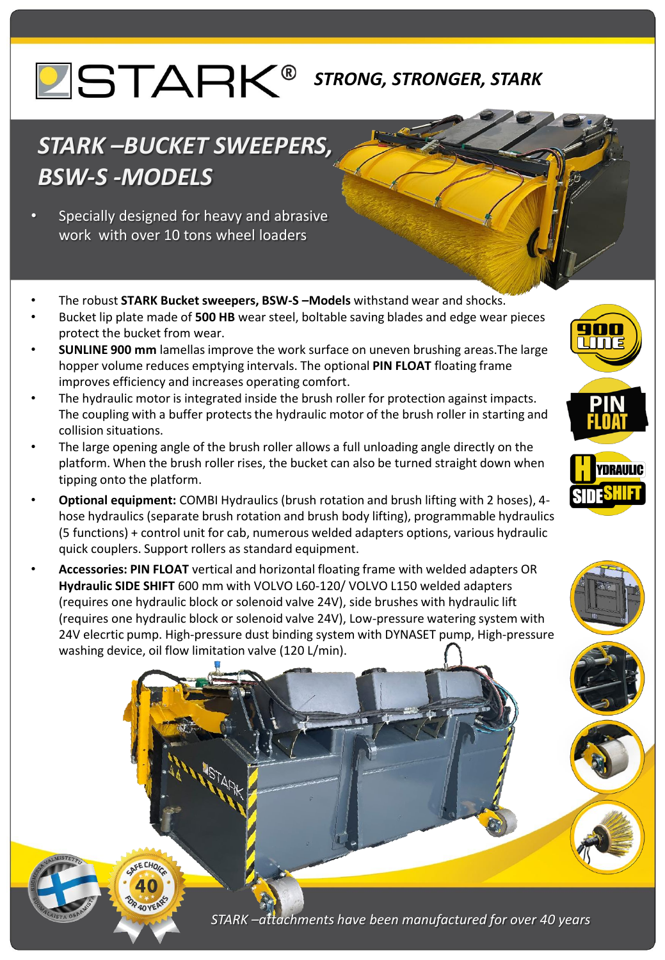## *STRONG, STRONGER, STARK*

## *STARK –BUCKET SWEEPERS, BSW-S -MODELS*

- Specially designed for heavy and abrasive work with over 10 tons wheel loaders
- The robust **STARK Bucket sweepers, BSW-S –Models** withstand wear and shocks.
- Bucket lip plate made of **500 HB** wear steel, boltable saving blades and edge wear pieces protect the bucket from wear.
- **SUNLINE 900 mm** lamellas improve the work surface on uneven brushing areas.The large hopper volume reduces emptying intervals. The optional **PIN FLOAT** floating frame improves efficiency and increases operating comfort.
- The hydraulic motor is integrated inside the brush roller for protection against impacts. The coupling with a buffer protects the hydraulic motor of the brush roller in starting and collision situations.
- The large opening angle of the brush roller allows a full unloading angle directly on the platform. When the brush roller rises, the bucket can also be turned straight down when tipping onto the platform.
- **Optional equipment:** COMBI Hydraulics (brush rotation and brush lifting with 2 hoses), 4 hose hydraulics (separate brush rotation and brush body lifting), programmable hydraulics (5 functions) + control unit for cab, numerous welded adapters options, various hydraulic quick couplers. Support rollers as standard equipment.
- **Accessories: PIN FLOAT** vertical and horizontal floating frame with welded adapters OR **Hydraulic SIDE SHIFT** 600 mm with VOLVO L60-120/ VOLVO L150 welded adapters (requires one hydraulic block or solenoid valve 24V), side brushes with hydraulic lift (requires one hydraulic block or solenoid valve 24V), Low-pressure watering system with 24V elecrtic pump. High-pressure dust binding system with DYNASET pump, High-pressure washing device, oil flow limitation valve (120 L/min).







*STARK –attachments have been manufactured for over 40 years*